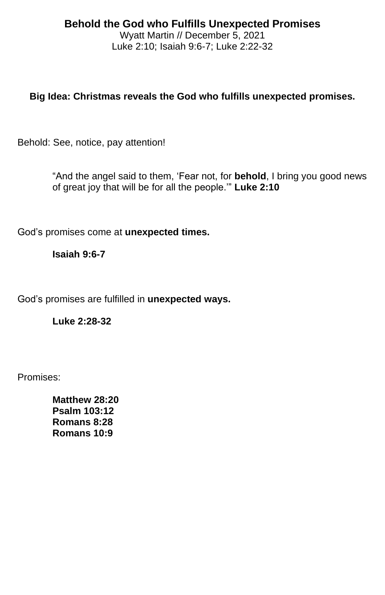# **Behold the God who Fulfills Unexpected Promises**

Wyatt Martin // December 5, 2021 Luke 2:10; Isaiah 9:6-7; Luke 2:22-32

## **Big Idea: Christmas reveals the God who fulfills unexpected promises.**

Behold: See, notice, pay attention!

"And the angel said to them, 'Fear not, for **behold**, I bring you good news of great joy that will be for all the people.'" **Luke 2:10**

God's promises come at **unexpected times.**

#### **Isaiah 9:6-7**

God's promises are fulfilled in **unexpected ways.**

**Luke 2:28-32**

Promises:

**Matthew 28:20 Psalm 103:12 Romans 8:28 Romans 10:9**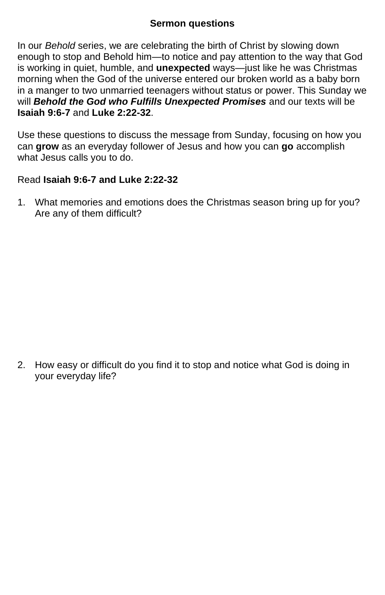### **Sermon questions**

In our *Behold* series, we are celebrating the birth of Christ by slowing down enough to stop and Behold him—to notice and pay attention to the way that God is working in quiet, humble, and **unexpected** ways—just like he was Christmas morning when the God of the universe entered our broken world as a baby born in a manger to two unmarried teenagers without status or power. This Sunday we will *Behold the God who Fulfills Unexpected Promises* and our texts will be **Isaiah 9:6-7** and **Luke 2:22-32**.

Use these questions to discuss the message from Sunday, focusing on how you can **grow** as an everyday follower of Jesus and how you can **go** accomplish what Jesus calls you to do.

## Read **Isaiah 9:6-7 and Luke 2:22-32**

1. What memories and emotions does the Christmas season bring up for you? Are any of them difficult?

2. How easy or difficult do you find it to stop and notice what God is doing in your everyday life?